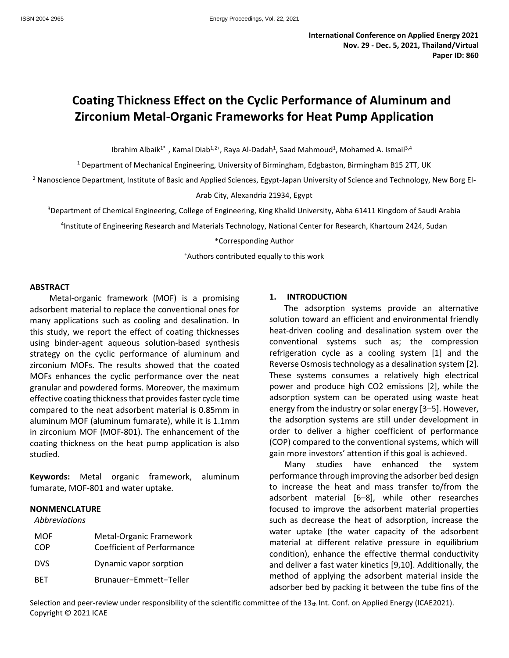# **Coating Thickness Effect on the Cyclic Performance of Aluminum and Zirconium Metal-Organic Frameworks for Heat Pump Application**

Ibrahim Albaik<sup>1\*+</sup>, Kamal Diab<sup>1,2+</sup>, Raya Al-Dadah<sup>1</sup>, Saad Mahmoud<sup>1</sup>, [Mohamed A.](https://www.sciencedirect.com/science/article/pii/S2451904921000214#!) Ismail<sup>3,4</sup>

<sup>1</sup> Department of Mechanical Engineering, University of Birmingham, Edgbaston, Birmingham B15 2TT, UK

<sup>2</sup> Nanoscience Department, Institute of Basic and Applied Sciences, Egypt-Japan University of Science and Technology, New Borg El-

#### Arab City, Alexandria 21934, Egypt

<sup>3</sup>Department of Chemical Engineering, College of Engineering, King Khalid University, Abha 61411 Kingdom of Saudi Arabia

4 Institute of Engineering Research and Materials Technology, National Center for Research, Khartoum 2424, Sudan

#### \*Corresponding Author

<sup>+</sup>Authors contributed equally to this work

#### **ABSTRACT**

Metal-organic framework (MOF) is a promising adsorbent material to replace the conventional ones for many applications such as cooling and desalination. In this study, we report the effect of coating thicknesses using binder-agent aqueous solution-based synthesis strategy on the cyclic performance of aluminum and zirconium MOFs. The results showed that the coated MOFs enhances the cyclic performance over the neat granular and powdered forms. Moreover, the maximum effective coating thickness that provides faster cycle time compared to the neat adsorbent material is 0.85mm in aluminum MOF (aluminum fumarate), while it is 1.1mm in zirconium MOF (MOF-801). The enhancement of the coating thickness on the heat pump application is also studied.

**Keywords:** Metal organic framework, aluminum fumarate, MOF-801 and water uptake.

## **NONMENCLATURE**

## *Abbreviations*

| MOF        | Metal-Organic Framework    |
|------------|----------------------------|
| COP        | Coefficient of Performance |
| <b>DVS</b> | Dynamic vapor sorption     |
| <b>RFT</b> | Brunauer-Emmett-Teller     |

#### **1. INTRODUCTION**

The adsorption systems provide an alternative solution toward an efficient and environmental friendly heat-driven cooling and desalination system over the conventional systems such as; the compression refrigeration cycle as a cooling system [1] and the Reverse Osmosis technology as a desalination system [2]. These systems consumes a relatively high electrical power and produce high CO2 emissions [2], while the adsorption system can be operated using waste heat energy from the industry or solar energy [3–5]. However, the adsorption systems are still under development in order to deliver a higher coefficient of performance (COP) compared to the conventional systems, which will gain more investors' attention if this goal is achieved.

Many studies have enhanced the system performance through improving the adsorber bed design to increase the heat and mass transfer to/from the adsorbent material [6–8], while other researches focused to improve the adsorbent material properties such as decrease the heat of adsorption, increase the water uptake (the water capacity of the adsorbent material at different relative pressure in equilibrium condition), enhance the effective thermal conductivity and deliver a fast water kinetics [9,10]. Additionally, the method of applying the adsorbent material inside the adsorber bed by packing it between the tube fins of the

Selection and peer-review under responsibility of the scientific committee of the  $13<sub>th</sub>$  Int. Conf. on Applied Energy (ICAE2021). Copyright © 2021 ICAE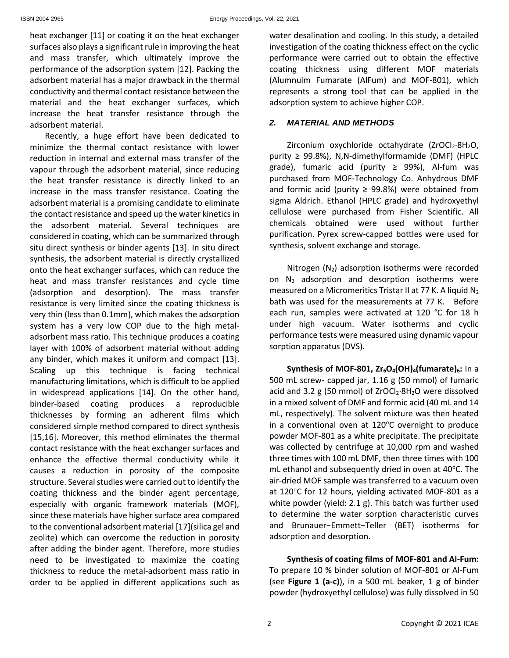heat exchanger [11] or coating it on the heat exchanger surfaces also plays a significant rule in improving the heat and mass transfer, which ultimately improve the performance of the adsorption system [12]. Packing the adsorbent material has a major drawback in the thermal conductivity and thermal contact resistance between the material and the heat exchanger surfaces, which increase the heat transfer resistance through the adsorbent material.

Recently, a huge effort have been dedicated to minimize the thermal contact resistance with lower reduction in internal and external mass transfer of the vapour through the adsorbent material, since reducing the heat transfer resistance is directly linked to an increase in the mass transfer resistance. Coating the adsorbent material is a promising candidate to eliminate the contact resistance and speed up the water kinetics in the adsorbent material. Several techniques are considered in coating, which can be summarized through situ direct synthesis or binder agents [13]. In situ direct synthesis, the adsorbent material is directly crystallized onto the heat exchanger surfaces, which can reduce the heat and mass transfer resistances and cycle time (adsorption and desorption). The mass transfer resistance is very limited since the coating thickness is very thin (less than 0.1mm), which makes the adsorption system has a very low COP due to the high metaladsorbent mass ratio. This technique produces a coating layer with 100% of adsorbent material without adding any binder, which makes it uniform and compact [13]. Scaling up this technique is facing technical manufacturing limitations, which is difficult to be applied in widespread applications [14]. On the other hand, binder-based coating produces a reproducible thicknesses by forming an adherent films which considered simple method compared to direct synthesis [15,16]. Moreover, this method eliminates the thermal contact resistance with the heat exchanger surfaces and enhance the effective thermal conductivity while it causes a reduction in porosity of the composite structure. Several studies were carried out to identify the coating thickness and the binder agent percentage, especially with organic framework materials (MOF), since these materials have higher surface area compared to the conventional adsorbent material [17](silica gel and zeolite) which can overcome the reduction in porosity after adding the binder agent. Therefore, more studies need to be investigated to maximize the coating thickness to reduce the metal-adsorbent mass ratio in order to be applied in different applications such as water desalination and cooling. In this study, a detailed investigation of the coating thickness effect on the cyclic performance were carried out to obtain the effective coating thickness using different MOF materials (Alumnuim Fumarate (AlFum) and MOF-801), which represents a strong tool that can be applied in the adsorption system to achieve higher COP.

## *2. MATERIAL AND METHODS*

Zirconium oxychloride octahydrate  $(ZrOCl<sub>2</sub>·8H<sub>2</sub>O,$ purity ≥ 99.8%), N,N-dimethylformamide (DMF) (HPLC grade), fumaric acid (purity  $\geq$  99%), Al-fum was purchased from MOF-Technology Co. Anhydrous DMF and formic acid (purity  $\geq$  99.8%) were obtained from sigma Aldrich. Ethanol (HPLC grade) and hydroxyethyl cellulose were purchased from Fisher Scientific. All chemicals obtained were used without further purification. Pyrex screw-capped bottles were used for synthesis, solvent exchange and storage.

Nitrogen  $(N_2)$  adsorption isotherms were recorded on  $N_2$  adsorption and desorption isotherms were measured on a Micromeritics Tristar II at 77 K. A liquid  $N_2$ bath was used for the measurements at 77 K. Before each run, samples were activated at 120 °C for 18 h under high vacuum. Water isotherms and cyclic performance tests were measured using dynamic vapour sorption apparatus (DVS).

**Synthesis of MOF-801, Zr6O4(OH)4(fumarate)6:** In a 500 mL screw- capped jar, 1.16 g (50 mmol) of fumaric acid and 3.2 g (50 mmol) of  $ZrOCl<sub>2</sub>·8H<sub>2</sub>O$  were dissolved in a mixed solvent of DMF and formic acid (40 mL and 14 mL, respectively). The solvent mixture was then heated in a conventional oven at  $120^{\circ}$ C overnight to produce powder MOF-801 as a white precipitate. The precipitate was collected by centrifuge at 10,000 rpm and washed three times with 100 mL DMF, then three times with 100 mL ethanol and subsequently dried in oven at  $40^{\circ}$ C. The air-dried MOF sample was transferred to a vacuum oven at 120°C for 12 hours, yielding activated MOF-801 as a white powder (yield: 2.1 g). This batch was further used to determine the water sorption characteristic curves and Brunauer−Emmett−Teller (BET) isotherms for adsorption and desorption.

**Synthesis of coating films of MOF-801 and Al-Fum:** To prepare 10 % binder solution of MOF-801 or Al-Fum (see **[Figure 1](#page-2-0) (a-c)**), in a 500 mL beaker, 1 g of binder powder (hydroxyethyl cellulose) was fully dissolved in 50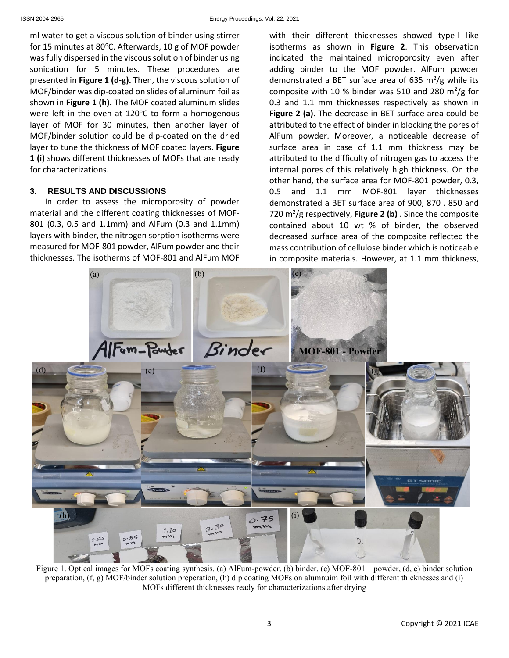ml water to get a viscous solution of binder using stirrer for 15 minutes at 80 $^{\circ}$ C. Afterwards, 10 g of MOF powder was fully dispersed in the viscous solution of binder using sonication for 5 minutes. These procedures are presented in **[Figure 1](#page-2-0) (d-g).** Then, the viscous solution of MOF/binder was dip-coated on slides of aluminum foil as shown in **[Figure 1](#page-2-0) (h).** The MOF coated aluminum slides were left in the oven at  $120^{\circ}$ C to form a homogenous layer of MOF for 30 minutes, then another layer of MOF/binder solution could be dip-coated on the dried layer to tune the thickness of MOF coated layers. **[Figure](#page-2-0)  [1](#page-2-0) (i)** shows different thicknesses of MOFs that are ready for characterizations.

# **3. RESULTS AND DISCUSSIONS**

In order to assess the microporosity of powder material and the different coating thicknesses of MOF-801 (0.3, 0.5 and 1.1mm) and AlFum (0.3 and 1.1mm) layers with binder, the nitrogen sorption isotherms were measured for MOF-801 powder, AlFum powder and their thicknesses. The isotherms of MOF-801 and AlFum MOF

with their different thicknesses showed type-I like isotherms as shown in **[Figure 2](#page-3-0)**. This observation indicated the maintained microporosity even after adding binder to the MOF powder. AlFum powder demonstrated a BET surface area of 635  $m^2/g$  while its composite with 10 % binder was 510 and 280  $\mathrm{m}^2/\mathrm{g}$  for 0.3 and 1.1 mm thicknesses respectively as shown in **[Figure 2](#page-3-0) (a)**. The decrease in BET surface area could be attributed to the effect of binder in blocking the pores of AlFum powder. Moreover, a noticeable decrease of surface area in case of 1.1 mm thickness may be attributed to the difficulty of nitrogen gas to access the internal pores of this relatively high thickness. On the other hand, the surface area for MOF-801 powder, 0.3, 0.5 and 1.1 mm MOF-801 layer thicknesses demonstrated a BET surface area of 900, 870 , 850 and 720 m<sup>2</sup> /g respectively, **[Figure 2](#page-3-0) (b)** . Since the composite contained about 10 wt % of binder, the observed decreased surface area of the composite reflected the mass contribution of cellulose binder which is noticeable in composite materials. However, at 1.1 mm thickness,

<span id="page-2-0"></span>

Figure 1. Optical images for MOFs coating synthesis. (a) AlFum-powder, (b) binder, (c) MOF-801 – powder, (d, e) binder solution preparation, (f, g) MOF/binder solution preperation, (h) dip coating MOFs on alumnuim foil with different thicknesses and (i) MOFs different thicknesses ready for characterizations after drying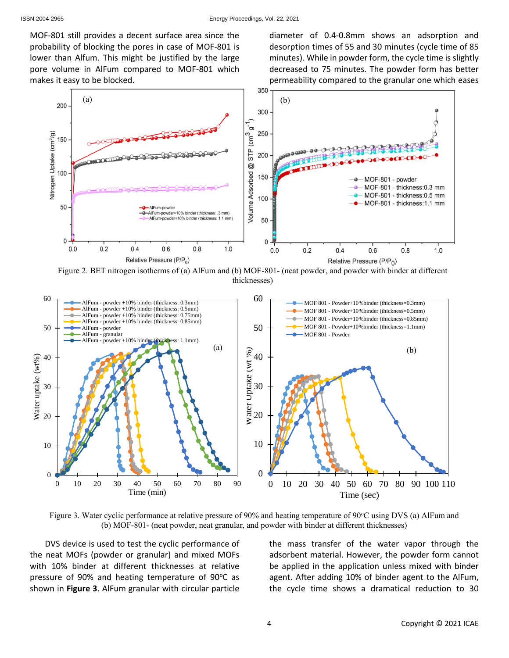MOF-801 still provides a decent surface area since the probability of blocking the pores in case of MOF-801 is lower than Alfum. This might be justified by the large pore volume in AlFum compared to MOF-801 which makes it easy to be blocked.

diameter of 0.4-0.8mm shows an adsorption and desorption times of 55 and 30 minutes (cycle time of 85 minutes). While in powder form, the cycle time is slightly decreased to 75 minutes. The powder form has better permeability compared to the granular one which eases



<span id="page-3-0"></span>Figure 2. BET nitrogen isotherms of (a) AlFum and (b) MOF-801- (neat powder, and powder with binder at different thicknesses)



<span id="page-3-1"></span>Figure 3. Water cyclic performance at relative pressure of 90% and heating temperature of 90°C using DVS (a) AlFum and (b) MOF-801- (neat powder, neat granular, and powder with binder at different thicknesses)

DVS device is used to test the cyclic performance of the neat MOFs (powder or granular) and mixed MOFs with 10% binder at different thicknesses at relative pressure of 90% and heating temperature of 90°C as shown in **[Figure 3](#page-3-1)**. AlFum granular with circular particle the mass transfer of the water vapor through the adsorbent material. However, the powder form cannot be applied in the application unless mixed with binder agent. After adding 10% of binder agent to the AlFum, the cycle time shows a dramatical reduction to 30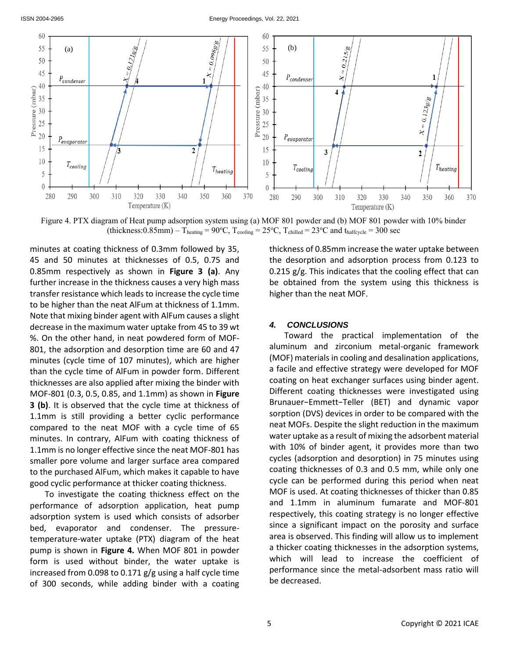

<span id="page-4-0"></span>Figure 4. PTX diagram of Heat pump adsorption system using (a) MOF 801 powder and (b) MOF 801 powder with 10% binder (thickness:0.85mm) – T<sub>heating</sub> = 90°C, T<sub>cooling</sub> = 25°C, T<sub>chilled</sub> = 23°C and t<sub>halfcycle</sub> = 300 sec

minutes at coating thickness of 0.3mm followed by 35, 45 and 50 minutes at thicknesses of 0.5, 0.75 and 0.85mm respectively as shown in **[Figure 3](#page-3-1) (a)**. Any further increase in the thickness causes a very high mass transfer resistance which leads to increase the cycle time to be higher than the neat AlFum at thickness of 1.1mm. Note that mixing binder agent with AlFum causes a slight decrease in the maximum water uptake from 45 to 39 wt %. On the other hand, in neat powdered form of MOF-801, the adsorption and desorption time are 60 and 47 minutes (cycle time of 107 minutes), which are higher than the cycle time of AlFum in powder form. Different thicknesses are also applied after mixing the binder with MOF-801 (0.3, 0.5, 0.85, and 1.1mm) as shown in **[Figure](#page-3-1)  [3](#page-3-1) (b)**. It is observed that the cycle time at thickness of 1.1mm is still providing a better cyclic performance compared to the neat MOF with a cycle time of 65 minutes. In contrary, AlFum with coating thickness of 1.1mm is no longer effective since the neat MOF-801 has smaller pore volume and larger surface area compared to the purchased AlFum, which makes it capable to have good cyclic performance at thicker coating thickness.

To investigate the coating thickness effect on the performance of adsorption application, heat pump adsorption system is used which consists of adsorber bed, evaporator and condenser. The pressuretemperature-water uptake (PTX) diagram of the heat pump is shown in **[Figure 4.](#page-4-0)** When MOF 801 in powder form is used without binder, the water uptake is increased from 0.098 to 0.171 g/g using a half cycle time of 300 seconds, while adding binder with a coating thickness of 0.85mm increase the water uptake between the desorption and adsorption process from 0.123 to  $0.215$  g/g. This indicates that the cooling effect that can be obtained from the system using this thickness is higher than the neat MOF.

## *4. CONCLUSIONS*

Toward the practical implementation of the aluminum and zirconium metal-organic framework (MOF) materials in cooling and desalination applications, a facile and effective strategy were developed for MOF coating on heat exchanger surfaces using binder agent. Different coating thicknesses were investigated using Brunauer−Emmett−Teller (BET) and dynamic vapor sorption (DVS) devices in order to be compared with the neat MOFs. Despite the slight reduction in the maximum water uptake as a result of mixing the adsorbent material with 10% of binder agent, it provides more than two cycles (adsorption and desorption) in 75 minutes using coating thicknesses of 0.3 and 0.5 mm, while only one cycle can be performed during this period when neat MOF is used. At coating thicknesses of thicker than 0.85 and 1.1mm in aluminum fumarate and MOF-801 respectively, this coating strategy is no longer effective since a significant impact on the porosity and surface area is observed. This finding will allow us to implement a thicker coating thicknesses in the adsorption systems, which will lead to increase the coefficient of performance since the metal-adsorbent mass ratio will be decreased.